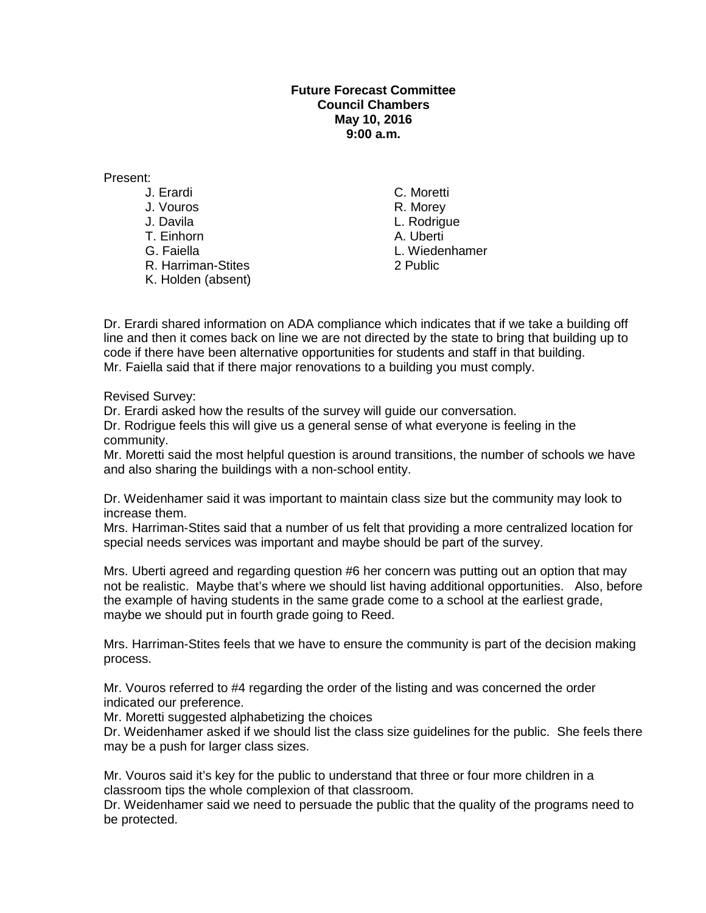## **Future Forecast Committee Council Chambers May 10, 2016 9:00 a.m.**

Present:

- 
- 
- T. Einhorn
- 
- 
- K. Holden (absent)

J. Erardi C. Moretti J. Vouros R. Morey<br>
J. Davila (1999) L. Rodrigu L. Rodrigue<br>A. Uberti G. Faiella L. Wiedenhamer R. Harriman-Stites 2 Public

Dr. Erardi shared information on ADA compliance which indicates that if we take a building off line and then it comes back on line we are not directed by the state to bring that building up to code if there have been alternative opportunities for students and staff in that building. Mr. Faiella said that if there major renovations to a building you must comply.

Revised Survey:

Dr. Erardi asked how the results of the survey will guide our conversation.

Dr. Rodrigue feels this will give us a general sense of what everyone is feeling in the community.

Mr. Moretti said the most helpful question is around transitions, the number of schools we have and also sharing the buildings with a non-school entity.

Dr. Weidenhamer said it was important to maintain class size but the community may look to increase them.

Mrs. Harriman-Stites said that a number of us felt that providing a more centralized location for special needs services was important and maybe should be part of the survey.

Mrs. Uberti agreed and regarding question #6 her concern was putting out an option that may not be realistic. Maybe that's where we should list having additional opportunities. Also, before the example of having students in the same grade come to a school at the earliest grade, maybe we should put in fourth grade going to Reed.

Mrs. Harriman-Stites feels that we have to ensure the community is part of the decision making process.

Mr. Vouros referred to #4 regarding the order of the listing and was concerned the order indicated our preference.

Mr. Moretti suggested alphabetizing the choices

Dr. Weidenhamer asked if we should list the class size guidelines for the public. She feels there may be a push for larger class sizes.

Mr. Vouros said it's key for the public to understand that three or four more children in a classroom tips the whole complexion of that classroom.

Dr. Weidenhamer said we need to persuade the public that the quality of the programs need to be protected.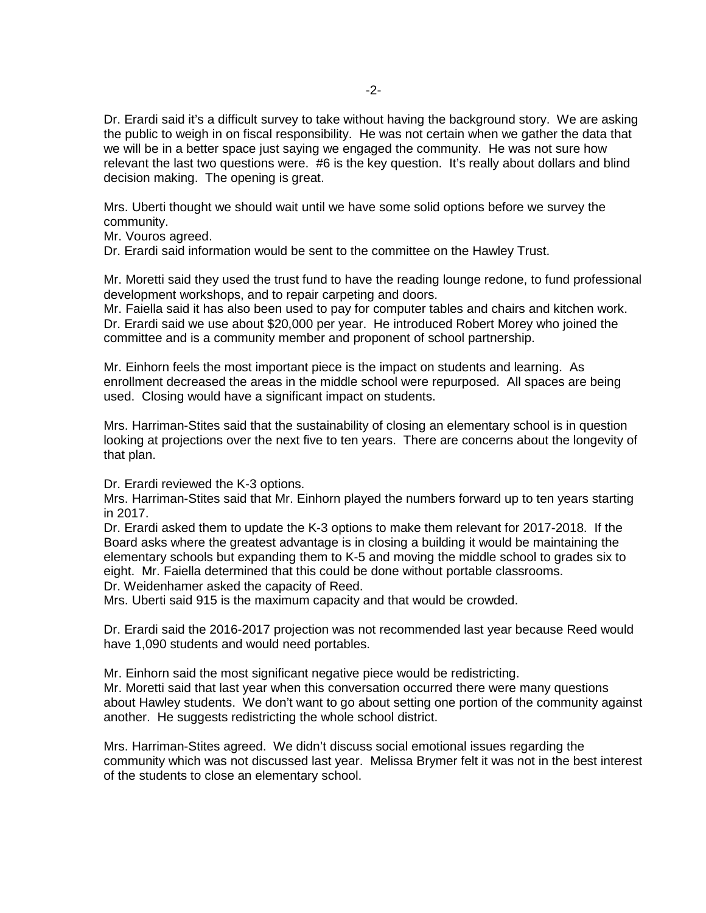Dr. Erardi said it's a difficult survey to take without having the background story. We are asking the public to weigh in on fiscal responsibility. He was not certain when we gather the data that we will be in a better space just saying we engaged the community. He was not sure how relevant the last two questions were. #6 is the key question. It's really about dollars and blind decision making. The opening is great.

Mrs. Uberti thought we should wait until we have some solid options before we survey the community.

Mr. Vouros agreed.

Dr. Erardi said information would be sent to the committee on the Hawley Trust.

Mr. Moretti said they used the trust fund to have the reading lounge redone, to fund professional development workshops, and to repair carpeting and doors.

Mr. Faiella said it has also been used to pay for computer tables and chairs and kitchen work. Dr. Erardi said we use about \$20,000 per year. He introduced Robert Morey who joined the committee and is a community member and proponent of school partnership.

Mr. Einhorn feels the most important piece is the impact on students and learning. As enrollment decreased the areas in the middle school were repurposed. All spaces are being used. Closing would have a significant impact on students.

Mrs. Harriman-Stites said that the sustainability of closing an elementary school is in question looking at projections over the next five to ten years. There are concerns about the longevity of that plan.

Dr. Erardi reviewed the K-3 options.

Mrs. Harriman-Stites said that Mr. Einhorn played the numbers forward up to ten years starting in 2017.

Dr. Erardi asked them to update the K-3 options to make them relevant for 2017-2018. If the Board asks where the greatest advantage is in closing a building it would be maintaining the elementary schools but expanding them to K-5 and moving the middle school to grades six to eight. Mr. Faiella determined that this could be done without portable classrooms. Dr. Weidenhamer asked the capacity of Reed.

Mrs. Uberti said 915 is the maximum capacity and that would be crowded.

Dr. Erardi said the 2016-2017 projection was not recommended last year because Reed would have 1,090 students and would need portables.

Mr. Einhorn said the most significant negative piece would be redistricting. Mr. Moretti said that last year when this conversation occurred there were many questions about Hawley students. We don't want to go about setting one portion of the community against another. He suggests redistricting the whole school district.

Mrs. Harriman-Stites agreed. We didn't discuss social emotional issues regarding the community which was not discussed last year. Melissa Brymer felt it was not in the best interest of the students to close an elementary school.